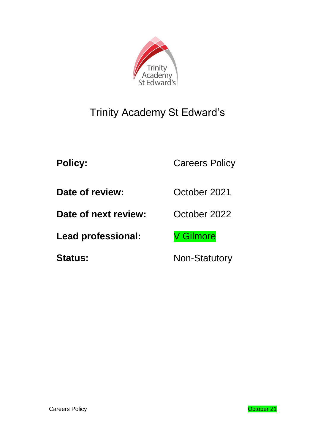

# Trinity Academy St Edward's

Policy: Careers Policy

**Date of review:** October 2021

**Date of next review:** October 2022

Lead professional: V Gilmore

Status: Non-Statutory

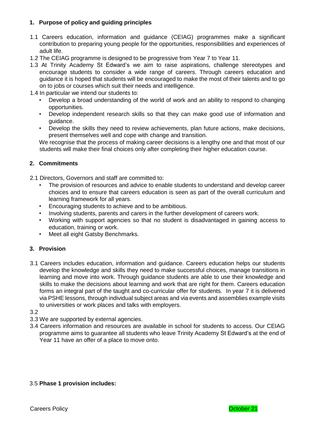# **1. Purpose of policy and guiding principles**

- 1.1 Careers education, information and guidance (CEIAG) programmes make a significant contribution to preparing young people for the opportunities, responsibilities and experiences of adult life.
- 1.2 The CEIAG programme is designed to be progressive from Year 7 to Year 11.
- 1.3 At Trinity Academy St Edward's we aim to raise aspirations, challenge stereotypes and encourage students to consider a wide range of careers. Through careers education and guidance it is hoped that students will be encouraged to make the most of their talents and to go on to jobs or courses which suit their needs and intelligence.
- 1.4 In particular we intend our students to:
	- Develop a broad understanding of the world of work and an ability to respond to changing opportunities.
	- Develop independent research skills so that they can make good use of information and guidance.
	- Develop the skills they need to review achievements, plan future actions, make decisions, present themselves well and cope with change and transition.

We recognise that the process of making career decisions is a lengthy one and that most of our students will make their final choices only after completing their higher education course.

## **2. Commitments**

2.1 Directors, Governors and staff are committed to:

- The provision of resources and advice to enable students to understand and develop career choices and to ensure that careers education is seen as part of the overall curriculum and learning framework for all years.
- Encouraging students to achieve and to be ambitious.
- Involving students, parents and carers in the further development of careers work.
- Working with support agencies so that no student is disadvantaged in gaining access to education, training or work.
- Meet all eight Gatsby Benchmarks.

## **3. Provision**

- 3.1 Careers includes education, information and guidance. Careers education helps our students develop the knowledge and skills they need to make successful choices, manage transitions in learning and move into work. Through guidance students are able to use their knowledge and skills to make the decisions about learning and work that are right for them. Careers education forms an integral part of the taught and co-curricular offer for students. In year 7 it is delivered via PSHE lessons, through individual subject areas and via events and assemblies example visits to universities or work places and talks with employers.
- 3.2
- 3.3 We are supported by external agencies.
- 3.4 Careers information and resources are available in school for students to access. Our CEIAG programme aims to guarantee all students who leave Trinity Academy St Edward's at the end of Year 11 have an offer of a place to move onto.

## 3.5 **Phase 1 provision includes:**

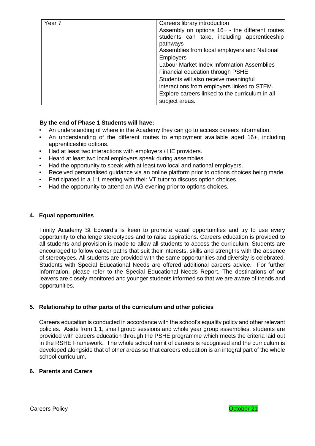| Year 7 | Careers library introduction<br>Assembly on options 16+ - the different routes<br>students can take, including apprenticeship<br>pathways<br>Assemblies from local employers and National<br><b>Employers</b><br>Labour Market Index Information Assemblies |
|--------|-------------------------------------------------------------------------------------------------------------------------------------------------------------------------------------------------------------------------------------------------------------|
|        | Financial education through PSHE<br>Students will also receive meaningful<br>interactions from employers linked to STEM.<br>Explore careers linked to the curriculum in all<br>subject areas.                                                               |

# **By the end of Phase 1 Students will have:**

- An understanding of where in the Academy they can go to access careers information.
- An understanding of the different routes to employment available aged 16+, including apprenticeship options.
- Had at least two interactions with employers / HE providers.
- Heard at least two local employers speak during assemblies.
- Had the opportunity to speak with at least two local and national employers.
- Received personalised guidance via an online platform prior to options choices being made.
- Participated in a 1:1 meeting with their VT tutor to discuss option choices.
- Had the opportunity to attend an IAG evening prior to options choices.

## **4. Equal opportunities**

Trinity Academy St Edward's is keen to promote equal opportunities and try to use every opportunity to challenge stereotypes and to raise aspirations. Careers education is provided to all students and provision is made to allow all students to access the curriculum. Students are encouraged to follow career paths that suit their interests, skills and strengths with the absence of stereotypes. All students are provided with the same opportunities and diversity is celebrated. Students with Special Educational Needs are offered additional careers advice. For further information, please refer to the Special Educational Needs Report. The destinations of our leavers are closely monitored and younger students informed so that we are aware of trends and opportunities.

## **5. Relationship to other parts of the curriculum and other policies**

Careers education is conducted in accordance with the school's equality policy and other relevant policies. Aside from 1:1, small group sessions and whole year group assemblies, students are provided with careers education through the PSHE programme which meets the criteria laid out in the RSHE Framework. The whole school remit of careers is recognised and the curriculum is developed alongside that of other areas so that careers education is an integral part of the whole school curriculum.

## **6. Parents and Carers**